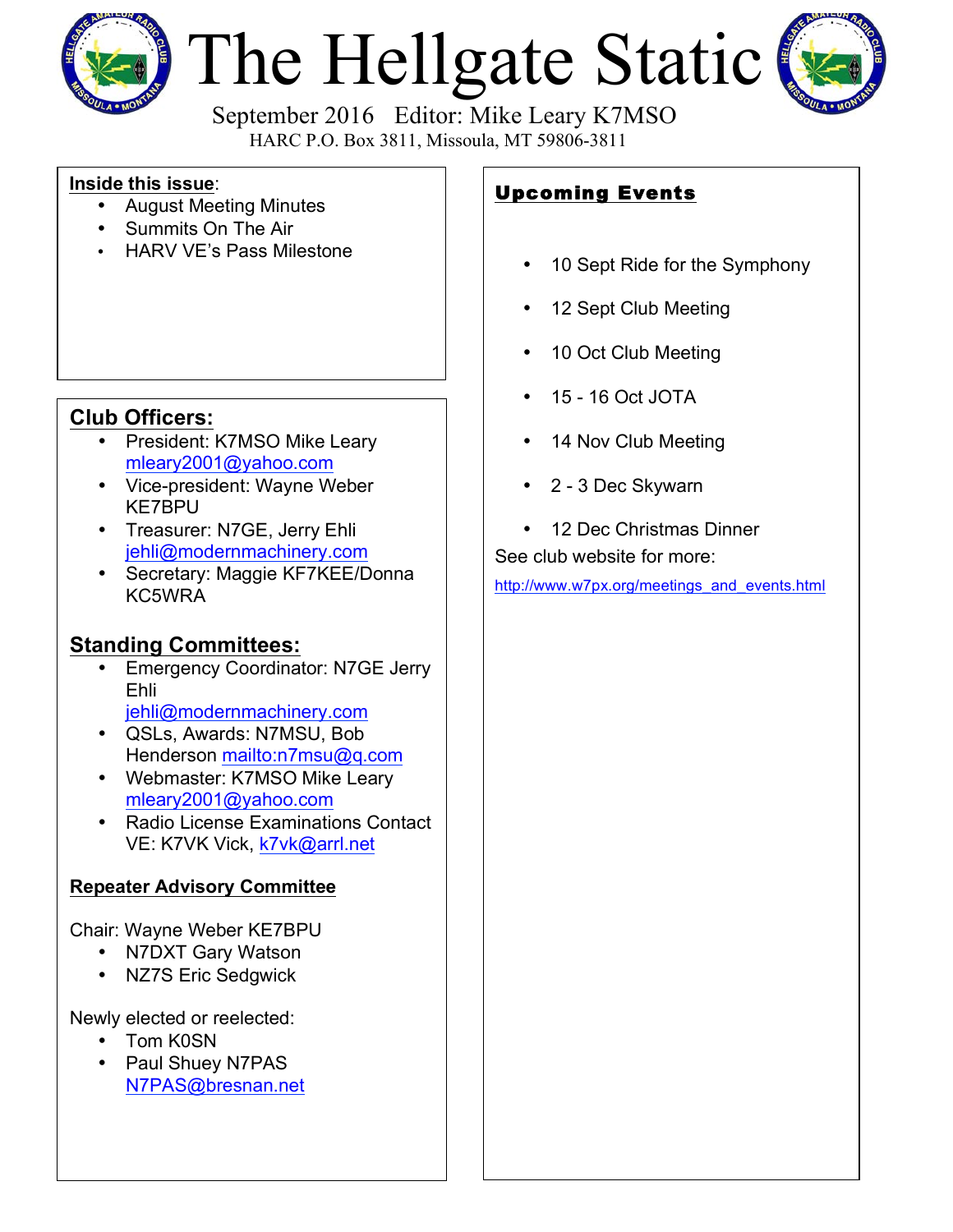

# The Hellgate Static



 September 2016 Editor: Mike Leary K7MSO HARC P.O. Box 3811, Missoula, MT 59806-3811

#### **Inside this issue**:

- August Meeting Minutes
- Summits On The Air
- HARV VE's Pass Milestone

### **Club Officers:**

- President: K7MSO Mike Leary mleary2001@yahoo.com
- Vice-president: Wayne Weber KE7BPU
- Treasurer: N7GE, Jerry Ehli jehli@modernmachinery.com
- Secretary: Maggie KF7KEE/Donna KC5WRA

## **Standing Committees:**

- Emergency Coordinator: N7GE Jerry Ehli jehli@modernmachinery.com
- QSLs, Awards: N7MSU, Bob Henderson mailto:n7msu@q.com
- Webmaster: K7MSO Mike Leary mleary2001@yahoo.com
- Radio License Examinations Contact VE: K7VK Vick, k7vk@arrl.net

#### **Repeater Advisory Committee**

Chair: Wayne Weber KE7BPU

- N7DXT Gary Watson
- NZ7S Eric Sedgwick

Newly elected or reelected:

- Tom K0SN
- Paul Shuey N7PAS N7PAS@bresnan.net

## Upcoming Events

- 10 Sept Ride for the Symphony
- 12 Sept Club Meeting
- 10 Oct Club Meeting
- 15 16 Oct JOTA
- 14 Nov Club Meeting
- 2 3 Dec Skywarn
- 12 Dec Christmas Dinner

See club website for more:

http://www.w7px.org/meetings\_and\_events.html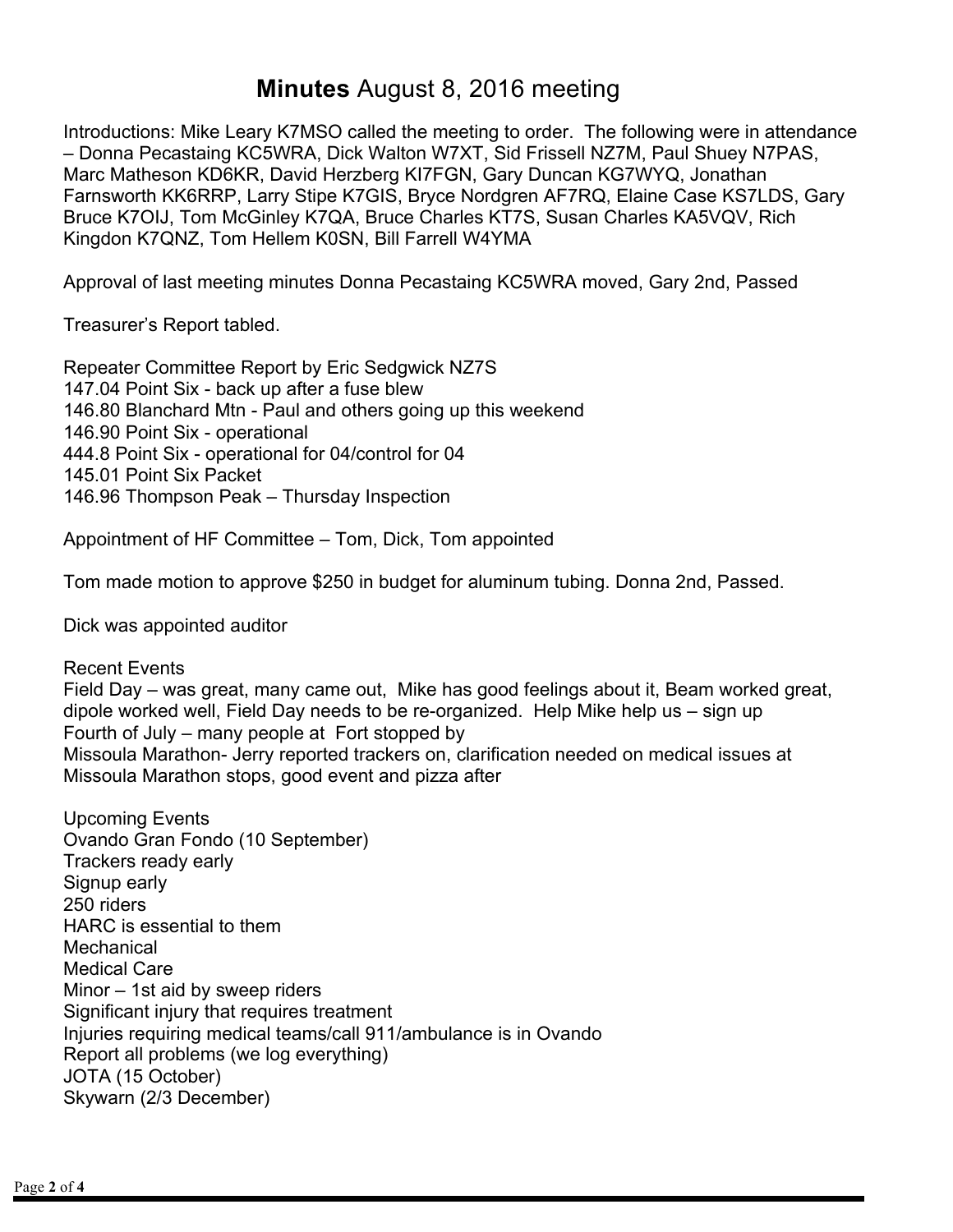## **Minutes** August 8, 2016 meeting

Introductions: Mike Leary K7MSO called the meeting to order. The following were in attendance – Donna Pecastaing KC5WRA, Dick Walton W7XT, Sid Frissell NZ7M, Paul Shuey N7PAS, Marc Matheson KD6KR, David Herzberg KI7FGN, Gary Duncan KG7WYQ, Jonathan Farnsworth KK6RRP, Larry Stipe K7GIS, Bryce Nordgren AF7RQ, Elaine Case KS7LDS, Gary Bruce K7OIJ, Tom McGinley K7QA, Bruce Charles KT7S, Susan Charles KA5VQV, Rich Kingdon K7QNZ, Tom Hellem K0SN, Bill Farrell W4YMA

Approval of last meeting minutes Donna Pecastaing KC5WRA moved, Gary 2nd, Passed

Treasurer's Report tabled.

Repeater Committee Report by Eric Sedgwick NZ7S 147.04 Point Six - back up after a fuse blew 146.80 Blanchard Mtn - Paul and others going up this weekend 146.90 Point Six - operational 444.8 Point Six - operational for 04/control for 04 145.01 Point Six Packet 146.96 Thompson Peak – Thursday Inspection

Appointment of HF Committee – Tom, Dick, Tom appointed

Tom made motion to approve \$250 in budget for aluminum tubing. Donna 2nd, Passed.

Dick was appointed auditor

Recent Events Field Day – was great, many came out, Mike has good feelings about it, Beam worked great, dipole worked well, Field Day needs to be re-organized. Help Mike help us – sign up Fourth of July – many people at Fort stopped by Missoula Marathon- Jerry reported trackers on, clarification needed on medical issues at Missoula Marathon stops, good event and pizza after

Upcoming Events Ovando Gran Fondo (10 September) Trackers ready early Signup early 250 riders HARC is essential to them **Mechanical** Medical Care Minor – 1st aid by sweep riders Significant injury that requires treatment Injuries requiring medical teams/call 911/ambulance is in Ovando Report all problems (we log everything) JOTA (15 October) Skywarn (2/3 December)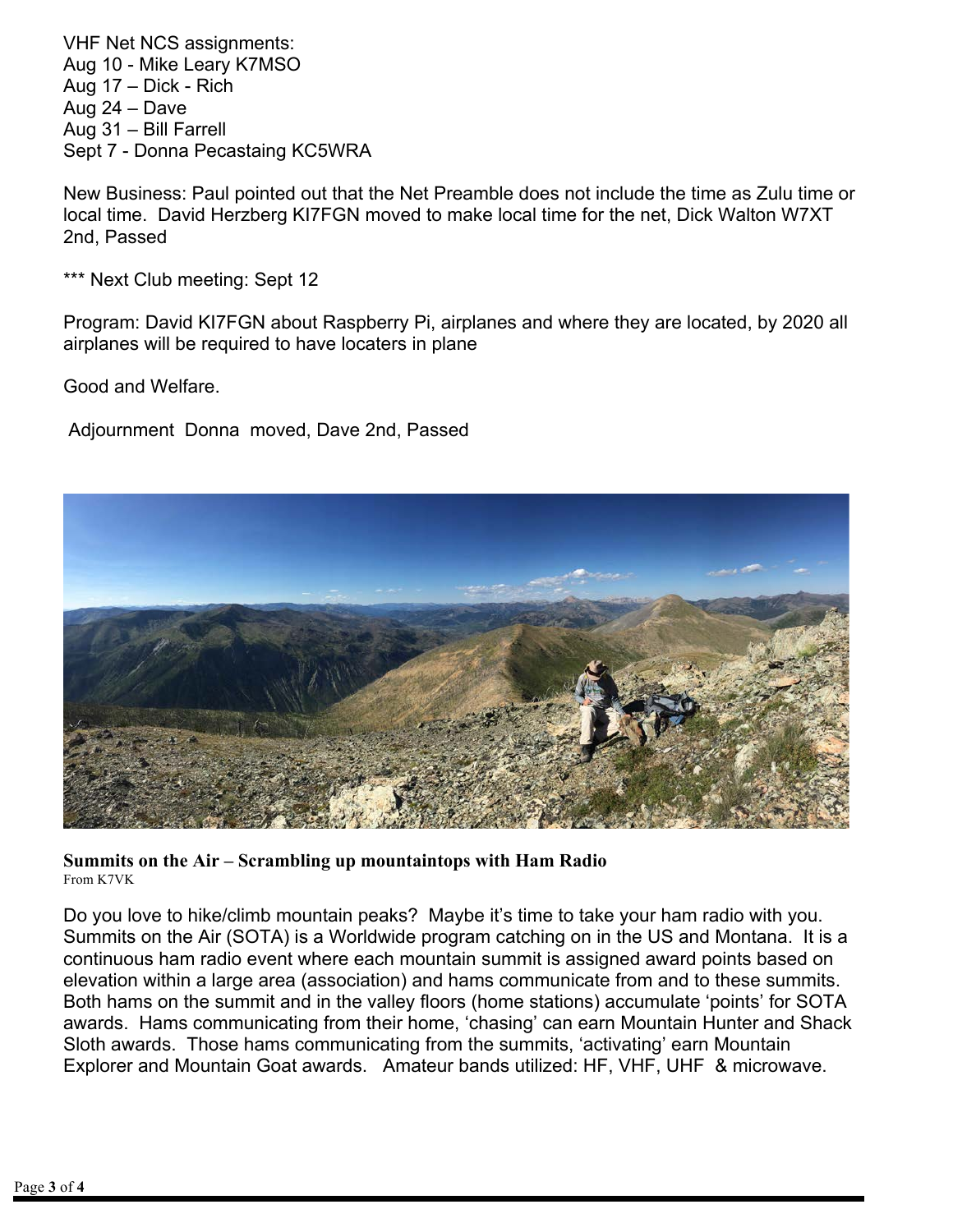VHF Net NCS assignments: Aug 10 - Mike Leary K7MSO Aug 17 – Dick - Rich Aug 24 – Dave Aug 31 – Bill Farrell Sept 7 - Donna Pecastaing KC5WRA

New Business: Paul pointed out that the Net Preamble does not include the time as Zulu time or local time. David Herzberg KI7FGN moved to make local time for the net, Dick Walton W7XT 2nd, Passed

\*\*\* Next Club meeting: Sept 12

Program: David KI7FGN about Raspberry Pi, airplanes and where they are located, by 2020 all airplanes will be required to have locaters in plane

Good and Welfare.

Adjournment Donna moved, Dave 2nd, Passed



**Summits on the Air – Scrambling up mountaintops with Ham Radio** From K7VK

Do you love to hike/climb mountain peaks? Maybe it's time to take your ham radio with you. Summits on the Air (SOTA) is a Worldwide program catching on in the US and Montana. It is a continuous ham radio event where each mountain summit is assigned award points based on elevation within a large area (association) and hams communicate from and to these summits. Both hams on the summit and in the valley floors (home stations) accumulate 'points' for SOTA awards. Hams communicating from their home, 'chasing' can earn Mountain Hunter and Shack Sloth awards. Those hams communicating from the summits, 'activating' earn Mountain Explorer and Mountain Goat awards. Amateur bands utilized: HF, VHF, UHF & microwave.